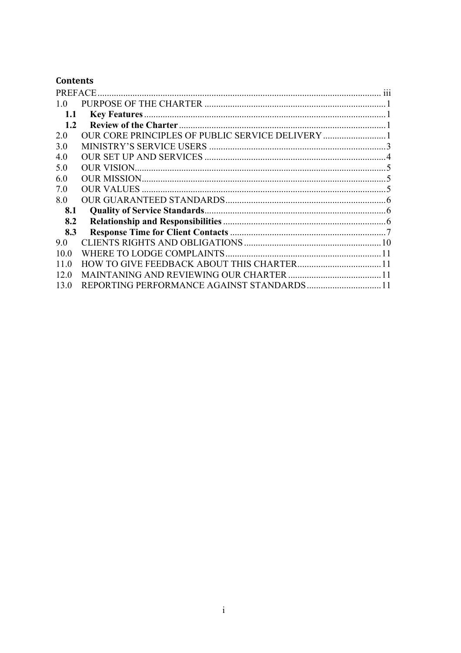# **Contents**

| 10            |                                           |  |
|---------------|-------------------------------------------|--|
| 1.1           |                                           |  |
| $1.2^{\circ}$ |                                           |  |
| 20            |                                           |  |
| 3 O           |                                           |  |
| 40            |                                           |  |
| 50            |                                           |  |
| 6.0           |                                           |  |
| 7.0           |                                           |  |
| 8.0           |                                           |  |
| 8.1           |                                           |  |
| 8.2           |                                           |  |
| 8.3           |                                           |  |
| 9.0           |                                           |  |
| 10 0          |                                           |  |
| 11 0          |                                           |  |
| 12.0          |                                           |  |
| 13.0          | REPORTING PERFORMANCE AGAINST STANDARDS11 |  |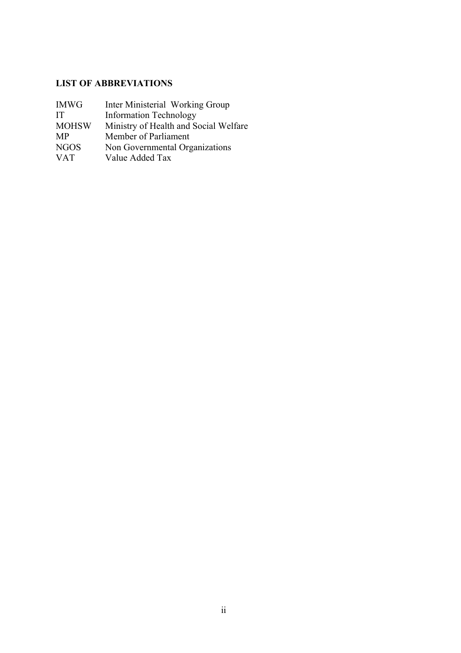# **LIST OF ABBREVIATIONS**

| <b>IMWG</b>  | Inter Ministerial Working Group       |
|--------------|---------------------------------------|
| TТ           | <b>Information Technology</b>         |
| <b>MOHSW</b> | Ministry of Health and Social Welfare |
| <b>MP</b>    | Member of Parliament                  |
| <b>NGOS</b>  | Non Governmental Organizations        |
| <b>VAT</b>   | Value Added Tax                       |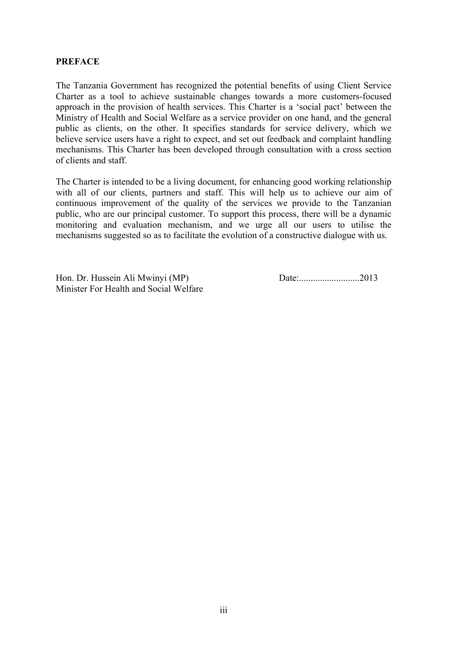### **PREFACE**

The Tanzania Government has recognized the potential benefits of using Client Service Charter as a tool to achieve sustainable changes towards a more customers-focused approach in the provision of health services. This Charter is a 'social pact' between the Ministry of Health and Social Welfare as a service provider on one hand, and the general public as clients, on the other. It specifies standards for service delivery, which we believe service users have a right to expect, and set out feedback and complaint handling mechanisms. This Charter has been developed through consultation with a cross section of clients and staff.

The Charter is intended to be a living document, for enhancing good working relationship with all of our clients, partners and staff. This will help us to achieve our aim of continuous improvement of the quality of the services we provide to the Tanzanian public, who are our principal customer. To support this process, there will be a dynamic monitoring and evaluation mechanism, and we urge all our users to utilise the mechanisms suggested so as to facilitate the evolution of a constructive dialogue with us.

Hon. Dr. Hussein Ali Mwinyi (MP) Date:..........................2013 Minister For Health and Social Welfare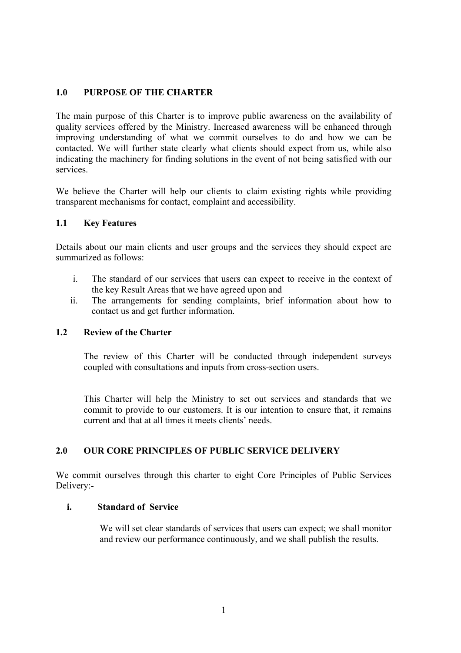### **1.0 PURPOSE OF THE CHARTER**

The main purpose of this Charter is to improve public awareness on the availability of quality services offered by the Ministry. Increased awareness will be enhanced through improving understanding of what we commit ourselves to do and how we can be contacted. We will further state clearly what clients should expect from us, while also indicating the machinery for finding solutions in the event of not being satisfied with our services.

We believe the Charter will help our clients to claim existing rights while providing transparent mechanisms for contact, complaint and accessibility.

#### **1.1 Key Features**

Details about our main clients and user groups and the services they should expect are summarized as follows:

- i. The standard of our services that users can expect to receive in the context of the key Result Areas that we have agreed upon and
- ii. The arrangements for sending complaints, brief information about how to contact us and get further information.

#### **1.2 Review of the Charter**

The review of this Charter will be conducted through independent surveys coupled with consultations and inputs from cross-section users.

This Charter will help the Ministry to set out services and standards that we commit to provide to our customers. It is our intention to ensure that, it remains current and that at all times it meets clients' needs.

## **2.0 OUR CORE PRINCIPLES OF PUBLIC SERVICE DELIVERY**

We commit ourselves through this charter to eight Core Principles of Public Services Delivery:-

#### **i. Standard of Service**

We will set clear standards of services that users can expect; we shall monitor and review our performance continuously, and we shall publish the results.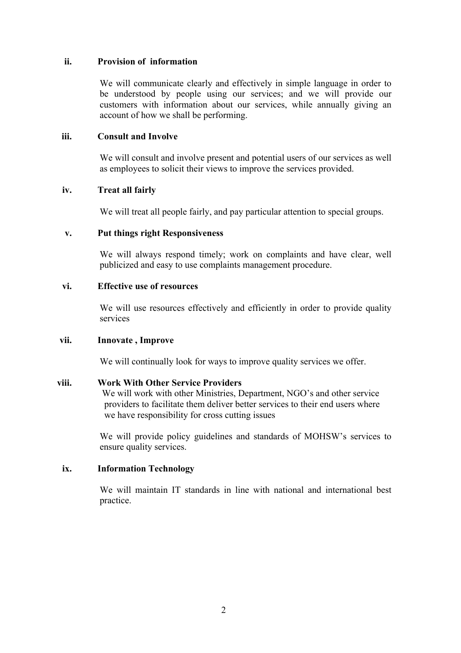#### **ii. Provision of information**

We will communicate clearly and effectively in simple language in order to be understood by people using our services; and we will provide our customers with information about our services, while annually giving an account of how we shall be performing.

#### **iii. Consult and Involve**

We will consult and involve present and potential users of our services as well as employees to solicit their views to improve the services provided.

#### **iv. Treat all fairly**

We will treat all people fairly, and pay particular attention to special groups.

#### **v. Put things right Responsiveness**

We will always respond timely; work on complaints and have clear, well publicized and easy to use complaints management procedure.

### **vi. Effective use of resources**

We will use resources effectively and efficiently in order to provide quality services

#### **vii. Innovate , Improve**

We will continually look for ways to improve quality services we offer.

### **viii. Work With Other Service Providers**

 We will work with other Ministries, Department, NGO's and other service providers to facilitate them deliver better services to their end users where we have responsibility for cross cutting issues

We will provide policy guidelines and standards of MOHSW's services to ensure quality services.

#### **ix. Information Technology**

We will maintain IT standards in line with national and international best practice.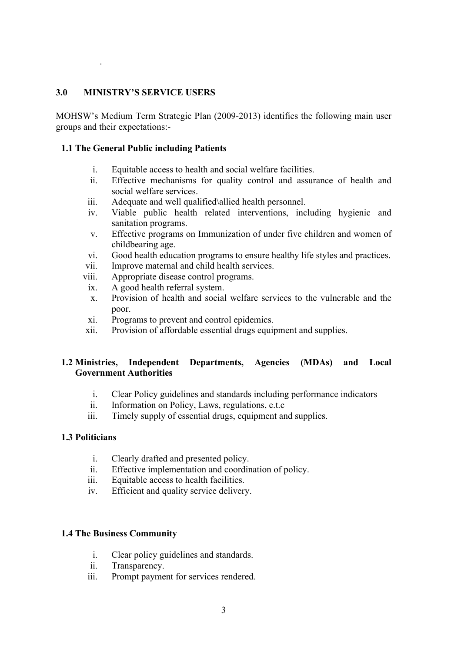### **3.0 MINISTRY'S SERVICE USERS**

.

MOHSW's Medium Term Strategic Plan (2009-2013) identifies the following main user groups and their expectations:-

### **1.1 The General Public including Patients**

- i. Equitable access to health and social welfare facilities.
- ii. Effective mechanisms for quality control and assurance of health and social welfare services.
- iii. Adequate and well qualified\allied health personnel.
- iv. Viable public health related interventions, including hygienic and sanitation programs.
- v. Effective programs on Immunization of under five children and women of childbearing age.
- vi. Good health education programs to ensure healthy life styles and practices.
- vii. Improve maternal and child health services.
- viii. Appropriate disease control programs.
- ix. A good health referral system.
- x. Provision of health and social welfare services to the vulnerable and the poor.
- xi. Programs to prevent and control epidemics.
- xii. Provision of affordable essential drugs equipment and supplies.

## **1.2 Ministries, Independent Departments, Agencies (MDAs) and Local Government Authorities**

- i. Clear Policy guidelines and standards including performance indicators
- ii. Information on Policy, Laws, regulations, e.t.c
- iii. Timely supply of essential drugs, equipment and supplies.

#### **1.3 Politicians**

- i. Clearly drafted and presented policy.
- ii. Effective implementation and coordination of policy.
- iii. Equitable access to health facilities.
- iv. Efficient and quality service delivery.

#### **1.4 The Business Community**

- i. Clear policy guidelines and standards.
- ii. Transparency.
- iii. Prompt payment for services rendered.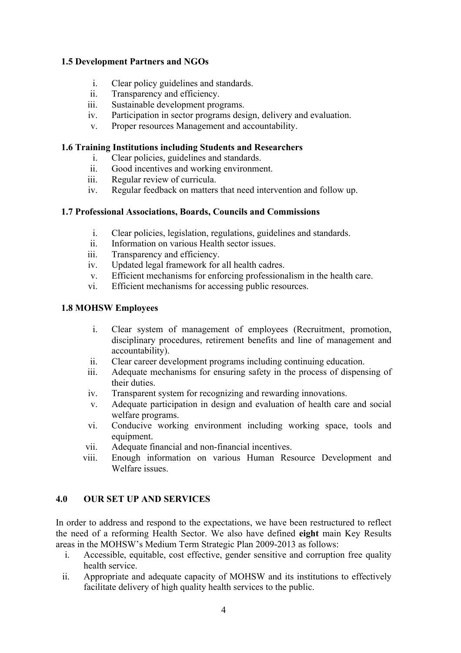## **1.5 Development Partners and NGOs**

- i. Clear policy guidelines and standards.
- ii. Transparency and efficiency.
- iii. Sustainable development programs.
- iv. Participation in sector programs design, delivery and evaluation.
- v. Proper resources Management and accountability.

## **1.6 Training Institutions including Students and Researchers**

- i. Clear policies, guidelines and standards.
- ii. Good incentives and working environment.
- iii. Regular review of curricula.
- iv. Regular feedback on matters that need intervention and follow up.

## **1.7 Professional Associations, Boards, Councils and Commissions**

- i. Clear policies, legislation, regulations, guidelines and standards.
- ii. Information on various Health sector issues.
- iii. Transparency and efficiency.
- iv. Updated legal framework for all health cadres.
- v. Efficient mechanisms for enforcing professionalism in the health care.
- vi. Efficient mechanisms for accessing public resources.

## **1.8 MOHSW Employees**

- i. Clear system of management of employees (Recruitment, promotion, disciplinary procedures, retirement benefits and line of management and accountability).
- ii. Clear career development programs including continuing education.
- iii. Adequate mechanisms for ensuring safety in the process of dispensing of their duties.
- iv. Transparent system for recognizing and rewarding innovations.
- v. Adequate participation in design and evaluation of health care and social welfare programs.
- vi. Conducive working environment including working space, tools and equipment.
- vii. Adequate financial and non-financial incentives.
- viii. Enough information on various Human Resource Development and Welfare issues.

## **4.0 OUR SET UP AND SERVICES**

In order to address and respond to the expectations, we have been restructured to reflect the need of a reforming Health Sector. We also have defined **eight** main Key Results areas in the MOHSW's Medium Term Strategic Plan 2009-2013 as follows:

- i. Accessible, equitable, cost effective, gender sensitive and corruption free quality health service.
- ii. Appropriate and adequate capacity of MOHSW and its institutions to effectively facilitate delivery of high quality health services to the public.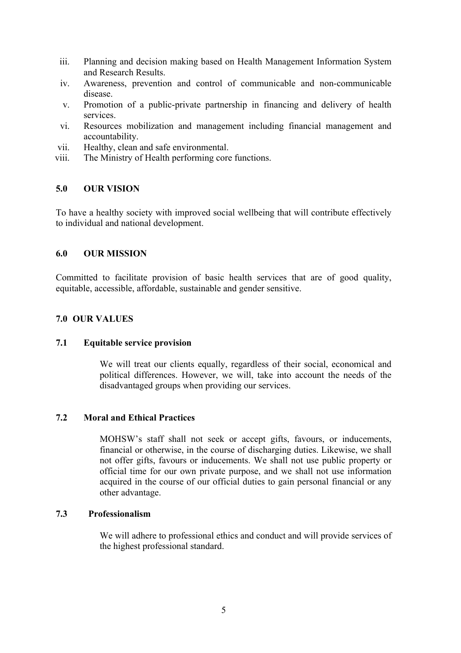- iii. Planning and decision making based on Health Management Information System and Research Results.
- iv. Awareness, prevention and control of communicable and non-communicable disease.
- v. Promotion of a public-private partnership in financing and delivery of health services.
- vi. Resources mobilization and management including financial management and accountability.
- vii. Healthy, clean and safe environmental.
- viii. The Ministry of Health performing core functions.

### **5.0 OUR VISION**

To have a healthy society with improved social wellbeing that will contribute effectively to individual and national development.

#### **6.0 OUR MISSION**

Committed to facilitate provision of basic health services that are of good quality, equitable, accessible, affordable, sustainable and gender sensitive.

### **7.0 OUR VALUES**

#### **7.1 Equitable service provision**

We will treat our clients equally, regardless of their social, economical and political differences. However, we will, take into account the needs of the disadvantaged groups when providing our services.

#### **7.2 Moral and Ethical Practices**

MOHSW's staff shall not seek or accept gifts, favours, or inducements, financial or otherwise, in the course of discharging duties. Likewise, we shall not offer gifts, favours or inducements. We shall not use public property or official time for our own private purpose, and we shall not use information acquired in the course of our official duties to gain personal financial or any other advantage.

#### **7.3 Professionalism**

We will adhere to professional ethics and conduct and will provide services of the highest professional standard.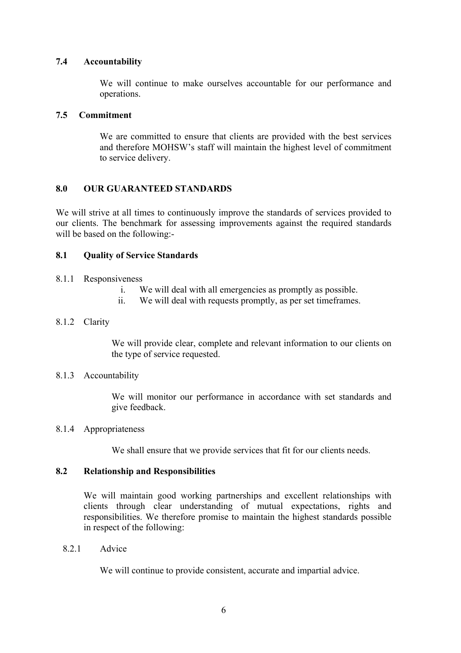## **7.4 Accountability**

We will continue to make ourselves accountable for our performance and operations.

### **7.5 Commitment**

We are committed to ensure that clients are provided with the best services and therefore MOHSW's staff will maintain the highest level of commitment to service delivery.

## **8.0 OUR GUARANTEED STANDARDS**

We will strive at all times to continuously improve the standards of services provided to our clients. The benchmark for assessing improvements against the required standards will be based on the following:-

### **8.1 Quality of Service Standards**

#### 8.1.1 Responsiveness

- i. We will deal with all emergencies as promptly as possible.
- ii. We will deal with requests promptly, as per set timeframes.

### 8.1.2 Clarity

We will provide clear, complete and relevant information to our clients on the type of service requested.

#### 8.1.3 Accountability

We will monitor our performance in accordance with set standards and give feedback.

### 8.1.4 Appropriateness

We shall ensure that we provide services that fit for our clients needs.

### **8.2 Relationship and Responsibilities**

We will maintain good working partnerships and excellent relationships with clients through clear understanding of mutual expectations, rights and responsibilities. We therefore promise to maintain the highest standards possible in respect of the following:

8.2.1 Advice

We will continue to provide consistent, accurate and impartial advice.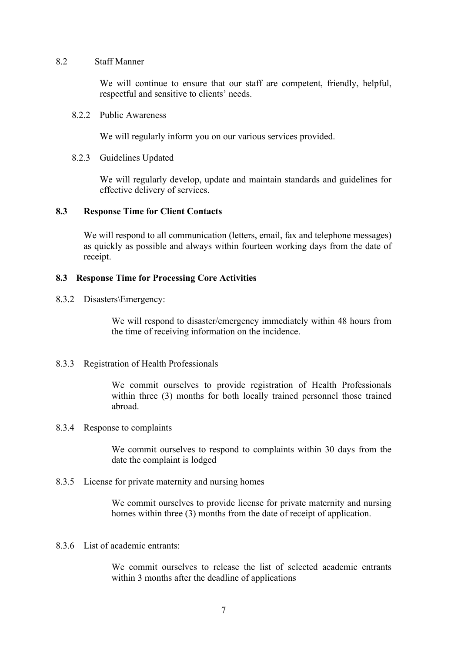#### 8.2 Staff Manner

We will continue to ensure that our staff are competent, friendly, helpful, respectful and sensitive to clients' needs.

### 8.2.2 Public Awareness

We will regularly inform you on our various services provided.

### 8.2.3 Guidelines Updated

We will regularly develop, update and maintain standards and guidelines for effective delivery of services.

### **8.3 Response Time for Client Contacts**

We will respond to all communication (letters, email, fax and telephone messages) as quickly as possible and always within fourteen working days from the date of receipt.

### **8.3 Response Time for Processing Core Activities**

8.3.2 Disasters\Emergency:

We will respond to disaster/emergency immediately within 48 hours from the time of receiving information on the incidence.

#### 8.3.3 Registration of Health Professionals

We commit ourselves to provide registration of Health Professionals within three (3) months for both locally trained personnel those trained abroad.

#### 8.3.4 Response to complaints

We commit ourselves to respond to complaints within 30 days from the date the complaint is lodged

#### 8.3.5 License for private maternity and nursing homes

We commit ourselves to provide license for private maternity and nursing homes within three (3) months from the date of receipt of application.

#### 8.3.6 List of academic entrants:

We commit ourselves to release the list of selected academic entrants within 3 months after the deadline of applications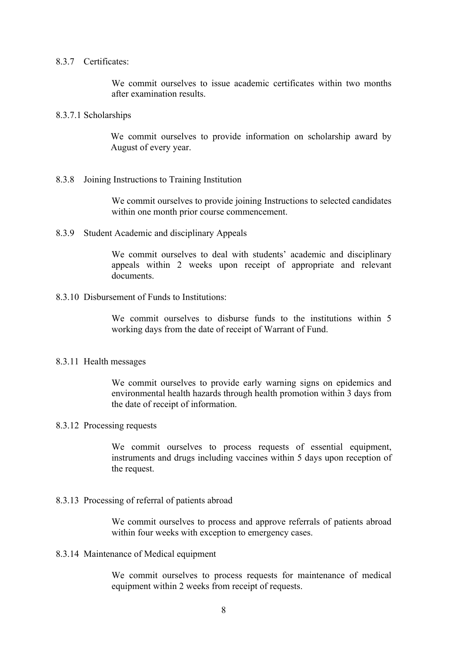#### 8.3.7 Certificates:

We commit ourselves to issue academic certificates within two months after examination results.

#### 8.3.7.1 Scholarships

We commit ourselves to provide information on scholarship award by August of every year.

#### 8.3.8 Joining Instructions to Training Institution

We commit ourselves to provide joining Instructions to selected candidates within one month prior course commencement.

#### 8.3.9 Student Academic and disciplinary Appeals

We commit ourselves to deal with students' academic and disciplinary appeals within 2 weeks upon receipt of appropriate and relevant documents.

#### 8.3.10 Disbursement of Funds to Institutions:

We commit ourselves to disburse funds to the institutions within 5 working days from the date of receipt of Warrant of Fund.

#### 8.3.11 Health messages

We commit ourselves to provide early warning signs on epidemics and environmental health hazards through health promotion within 3 days from the date of receipt of information.

#### 8.3.12 Processing requests

We commit ourselves to process requests of essential equipment, instruments and drugs including vaccines within 5 days upon reception of the request.

#### 8.3.13 Processing of referral of patients abroad

We commit ourselves to process and approve referrals of patients abroad within four weeks with exception to emergency cases.

#### 8.3.14 Maintenance of Medical equipment

We commit ourselves to process requests for maintenance of medical equipment within 2 weeks from receipt of requests.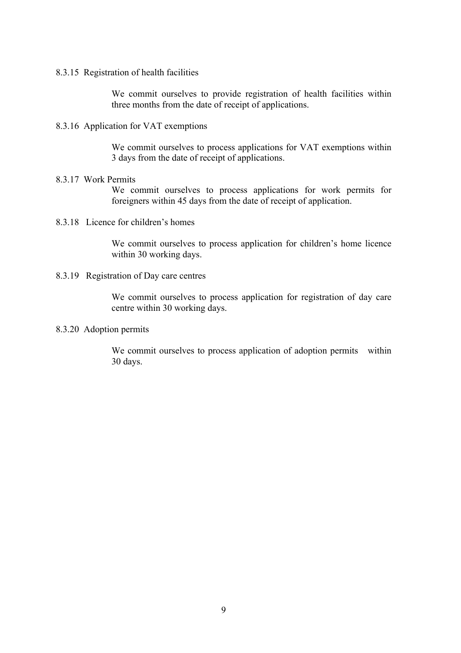8.3.15 Registration of health facilities

We commit ourselves to provide registration of health facilities within three months from the date of receipt of applications.

8.3.16 Application for VAT exemptions

We commit ourselves to process applications for VAT exemptions within 3 days from the date of receipt of applications.

#### 8.3.17 Work Permits

We commit ourselves to process applications for work permits for foreigners within 45 days from the date of receipt of application.

8.3.18 Licence for children's homes

We commit ourselves to process application for children's home licence within 30 working days.

#### 8.3.19 Registration of Day care centres

We commit ourselves to process application for registration of day care centre within 30 working days.

### 8.3.20 Adoption permits

We commit ourselves to process application of adoption permits within 30 days.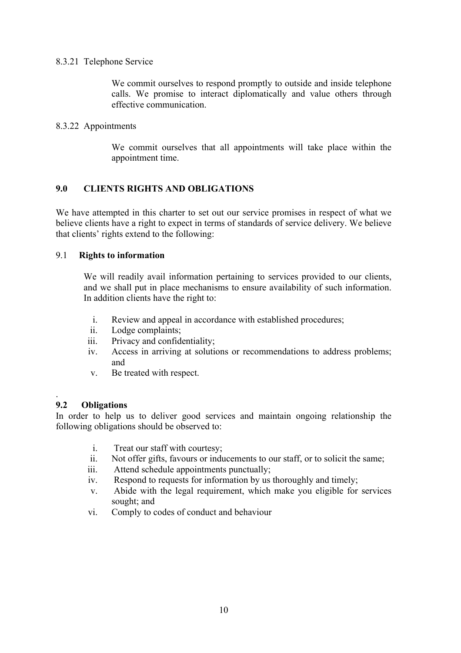### 8.3.21 Telephone Service

We commit ourselves to respond promptly to outside and inside telephone calls. We promise to interact diplomatically and value others through effective communication.

### 8.3.22 Appointments

We commit ourselves that all appointments will take place within the appointment time.

## **9.0 CLIENTS RIGHTS AND OBLIGATIONS**

We have attempted in this charter to set out our service promises in respect of what we believe clients have a right to expect in terms of standards of service delivery. We believe that clients' rights extend to the following:

### 9.1 **Rights to information**

We will readily avail information pertaining to services provided to our clients, and we shall put in place mechanisms to ensure availability of such information. In addition clients have the right to:

- i. Review and appeal in accordance with established procedures;
- ii. Lodge complaints;
- iii. Privacy and confidentiality;
- iv. Access in arriving at solutions or recommendations to address problems; and
- v. Be treated with respect.

#### . **9.2 Obligations**

In order to help us to deliver good services and maintain ongoing relationship the following obligations should be observed to:

- i. Treat our staff with courtesy;
- ii. Not offer gifts, favours or inducements to our staff, or to solicit the same;
- iii. Attend schedule appointments punctually;
- iv. Respond to requests for information by us thoroughly and timely;
- v. Abide with the legal requirement, which make you eligible for services sought; and
- vi. Comply to codes of conduct and behaviour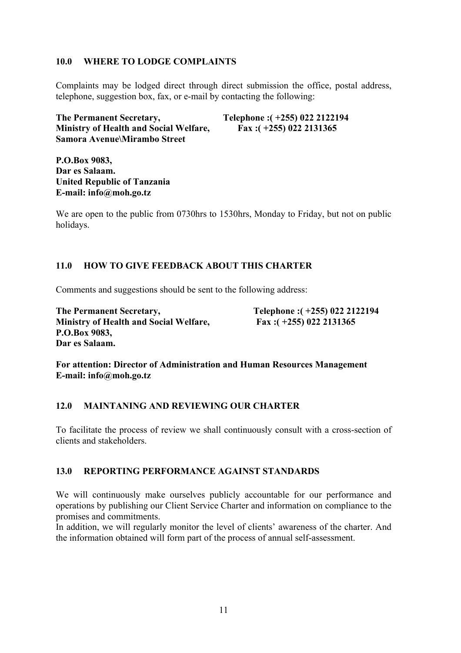## **10.0 WHERE TO LODGE COMPLAINTS**

Complaints may be lodged direct through direct submission the office, postal address, telephone, suggestion box, fax, or e-mail by contacting the following:

**The Permanent Secretary, Telephone :( +255) 022 2122194 Ministry of Health and Social Welfare, Fax :( +255) 022 2131365 Samora Avenue\Mirambo Street**

**P.O.Box 9083, Dar es Salaam. United Republic of Tanzania E-mail: info@moh.go.tz**

We are open to the public from 0730hrs to 1530hrs, Monday to Friday, but not on public holidays.

## **11.0 HOW TO GIVE FEEDBACK ABOUT THIS CHARTER**

Comments and suggestions should be sent to the following address:

**The Permanent Secretary, Telephone :( +255) 022 2122194 Ministry of Health and Social Welfare, Fax :( +255) 022 2131365 P.O.Box 9083, Dar es Salaam.**

**For attention: Director of Administration and Human Resources Management E-mail: info@moh.go.tz**

## **12.0 MAINTANING AND REVIEWING OUR CHARTER**

To facilitate the process of review we shall continuously consult with a cross-section of clients and stakeholders.

### **13.0 REPORTING PERFORMANCE AGAINST STANDARDS**

We will continuously make ourselves publicly accountable for our performance and operations by publishing our Client Service Charter and information on compliance to the promises and commitments.

In addition, we will regularly monitor the level of clients' awareness of the charter. And the information obtained will form part of the process of annual self-assessment.